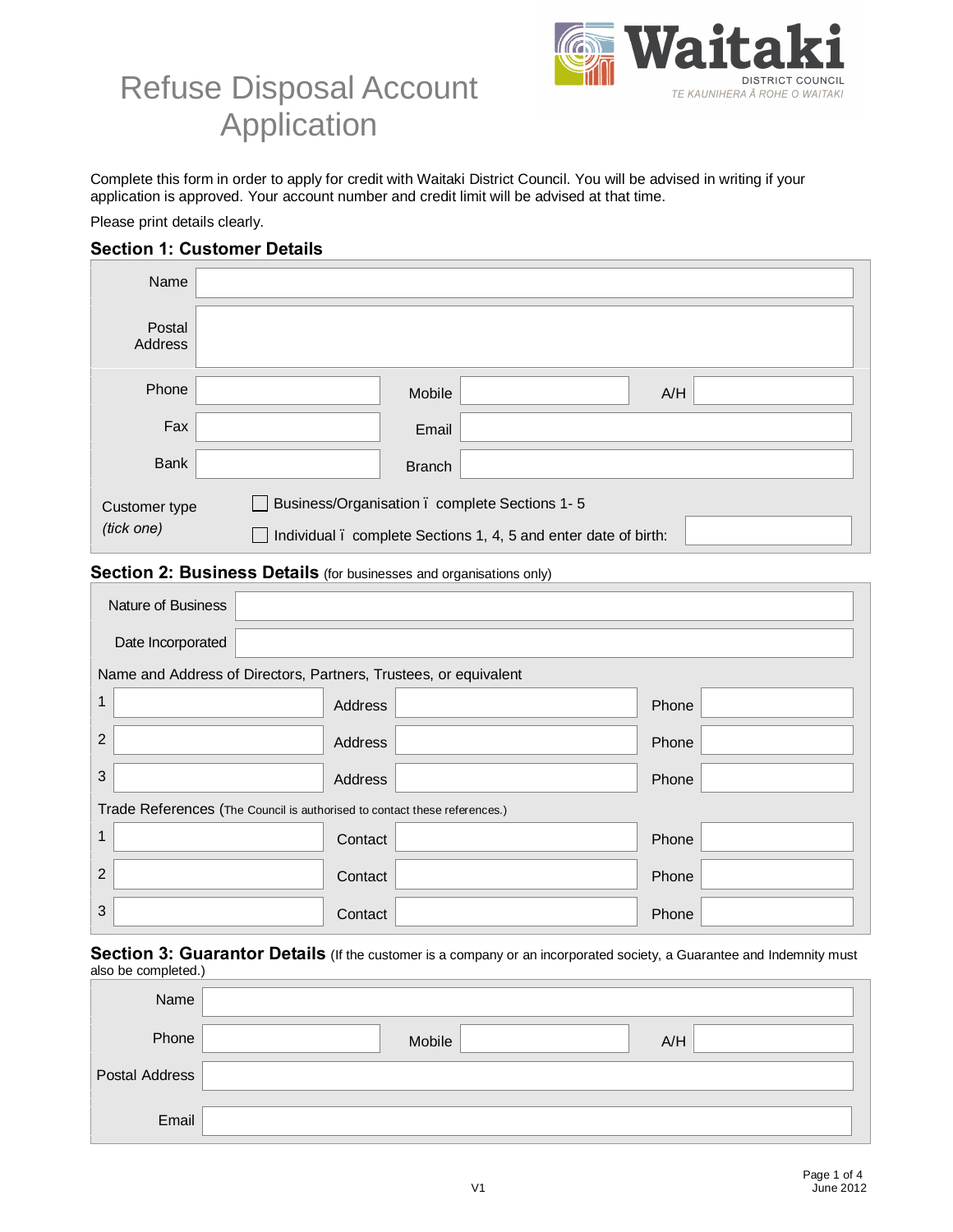

# Refuse Disposal Account Application

Complete this form in order to apply for credit with Waitaki District Council. You will be advised in writing if your application is approved. Your account number and credit limit will be advised at that time.

Please print details clearly.

### **Section 1: Customer Details**

| Name                                                                                                                                            |               |  |  |
|-------------------------------------------------------------------------------------------------------------------------------------------------|---------------|--|--|
| Postal<br>Address                                                                                                                               |               |  |  |
| Phone                                                                                                                                           | Mobile<br>A/H |  |  |
| Fax                                                                                                                                             | Email         |  |  |
| <b>Bank</b>                                                                                                                                     | <b>Branch</b> |  |  |
| Business/Organisation . complete Sections 1-5<br>Customer type<br>(tick one)<br>Individual . complete Sections 1, 4, 5 and enter date of birth: |               |  |  |
| Section 2: Business Details (for businesses and organisations only)                                                                             |               |  |  |
| Noturo of Duningson                                                                                                                             |               |  |  |

## Nature of Business Date Incorporated Name and Address of Directors, Partners, Trustees, or equivalent 1 Address Address Address And Address And Address And Address And Address And Address And Address And Address A 2 | Phone | Address | Phone | Phone | Phone | Phone | Phone | Phone | Phone | Phone | Phone | Phone | Phone | Phone | Phone | Phone | Phone | Phone | Phone | Phone | Phone | Phone | Phone | Phone | Phone | Phone | Phone | 3 Address Address Address And the Phone Trade References (The Council is authorised to contact these references.) 1 | Contact | Contact | Contact | Phone 2 | Contact | Contact | Contact | Phone 3 Contact Contact Contact Contact Contact Contact Contact Contact Contact Contact Contact Contact Contact Conta

**Section 3: Guarantor Details** (If the customer is a company or an incorporated society, a Guarantee and Indemnity must also be completed.)

| Name           |               |
|----------------|---------------|
| Phone          | Mobile<br>A/H |
| Postal Address |               |
| Email          |               |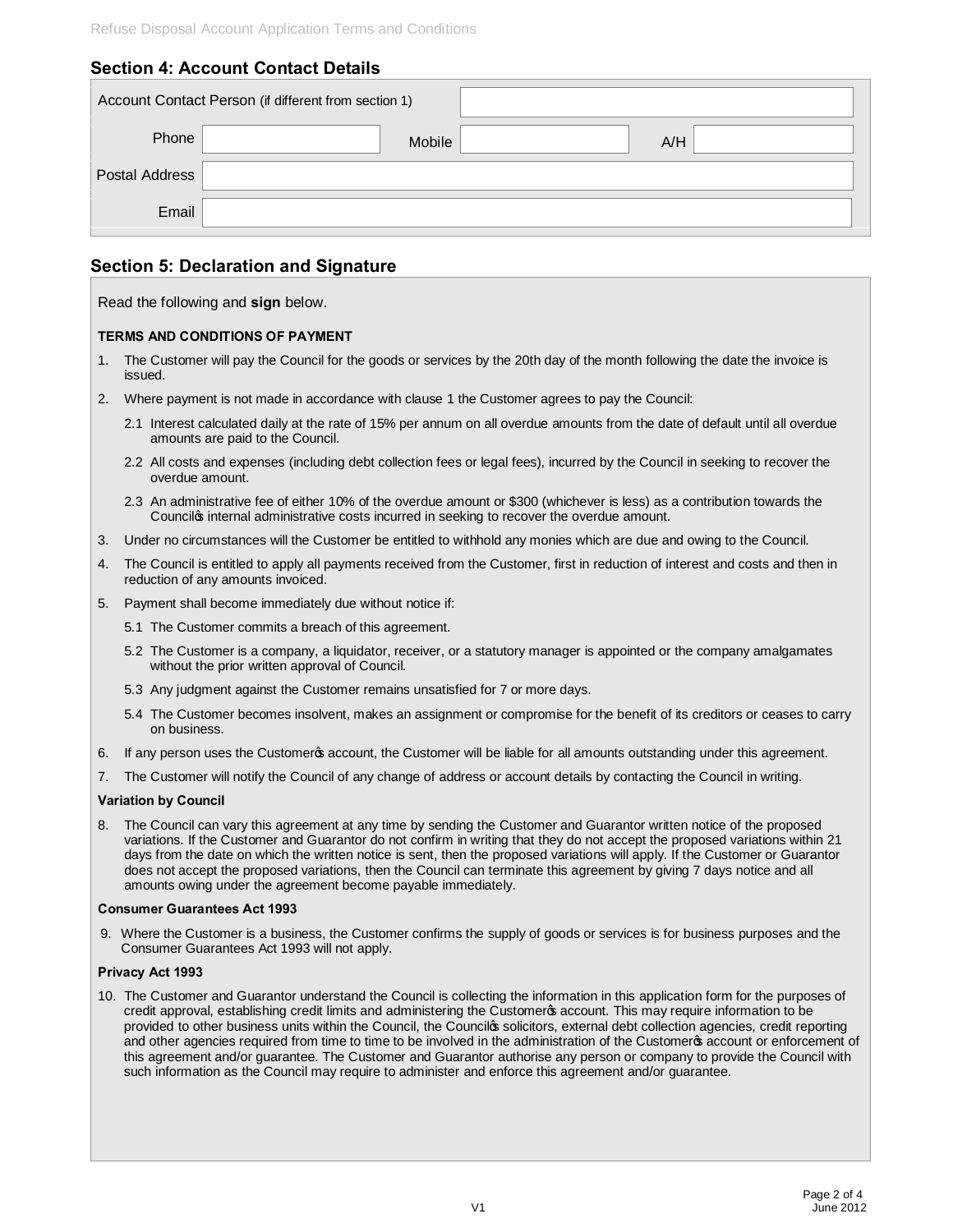## **Section 4: Account Contact Details**

|                | Account Contact Person (if different from section 1) |
|----------------|------------------------------------------------------|
| Phone          | A/H<br>Mobile                                        |
| Postal Address |                                                      |
| Email          |                                                      |

### **Section 5: Declaration and Signature**

Read the following and **sign** below.

#### **TERMS AND CONDITIONS OF PAYMENT**

- 1. The Customer will pay the Council for the goods or services by the 20th day of the month following the date the invoice is issued.
- 2. Where payment is not made in accordance with clause 1 the Customer agrees to pay the Council:
	- 2.1 Interest calculated daily at the rate of 15% per annum on all overdue amounts from the date of default until all overdue amounts are paid to the Council.
	- 2.2 All costs and expenses (including debt collection fees or legal fees), incurred by the Council in seeking to recover the overdue amount.
	- 2.3 An administrative fee of either 10% of the overdue amount or \$300 (whichever is less) as a contribution towards the Councilos internal administrative costs incurred in seeking to recover the overdue amount.
- 3. Under no circumstances will the Customer be entitled to withhold any monies which are due and owing to the Council.
- 4. The Council is entitled to apply all payments received from the Customer, first in reduction of interest and costs and then in reduction of any amounts invoiced.
- 5. Payment shall become immediately due without notice if:
	- 5.1 The Customer commits a breach of this agreement.
	- 5.2 The Customer is a company, a liquidator, receiver, or a statutory manager is appointed or the company amalgamates without the prior written approval of Council.
	- 5.3 Any judgment against the Customer remains unsatisfied for 7 or more days.
	- 5.4 The Customer becomes insolvent, makes an assignment or compromise for the benefit of its creditors or ceases to carry on business.
- 6. If any person uses the Customeros account, the Customer will be liable for all amounts outstanding under this agreement.
- 7. The Customer will notify the Council of any change of address or account details by contacting the Council in writing.

#### **Variation by Council**

8. The Council can vary this agreement at any time by sending the Customer and Guarantor written notice of the proposed variations. If the Customer and Guarantor do not confirm in writing that they do not accept the proposed variations within 21 days from the date on which the written notice is sent, then the proposed variations will apply. If the Customer or Guarantor does not accept the proposed variations, then the Council can terminate this agreement by giving 7 days notice and all amounts owing under the agreement become payable immediately.

#### **Consumer Guarantees Act 1993**

9. Where the Customer is a business, the Customer confirms the supply of goods or services is for business purposes and the Consumer Guarantees Act 1993 will not apply.

#### **Privacy Act 1993**

10. The Customer and Guarantor understand the Council is collecting the information in this application form for the purposes of credit approval, establishing credit limits and administering the Customeros account. This may require information to be provided to other business units within the Council, the Councilos solicitors, external debt collection agencies, credit reporting and other agencies required from time to time to be involved in the administration of the Customerop account or enforcement of this agreement and/or guarantee. The Customer and Guarantor authorise any person or company to provide the Council with such information as the Council may require to administer and enforce this agreement and/or guarantee.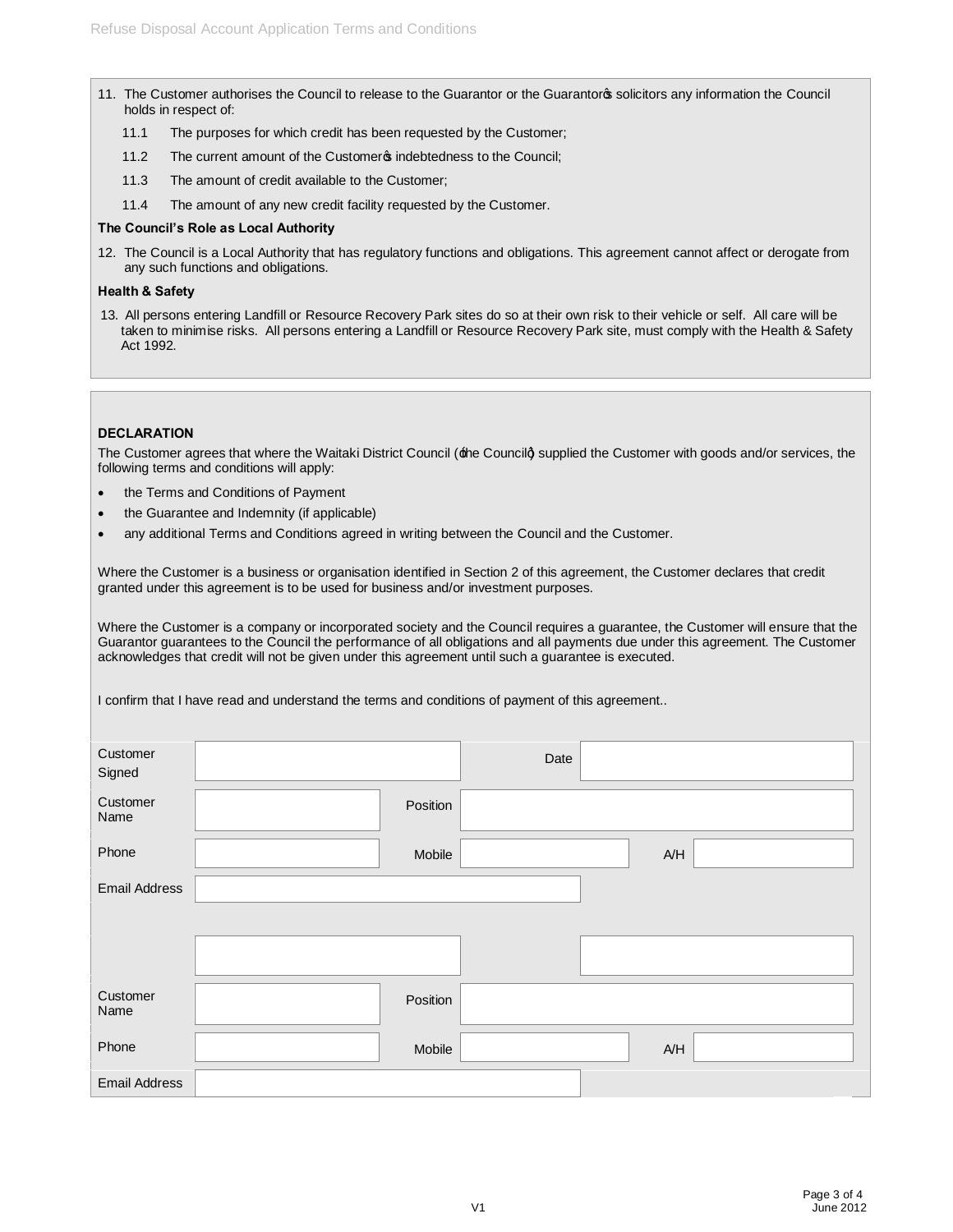- 11. The Customer authorises the Council to release to the Guarantor or the Guarantoros solicitors any information the Council holds in respect of:
	- 11.1 The purposes for which credit has been requested by the Customer;
	- 11.2 The current amount of the Customer<sup>®</sup> indebtedness to the Council;
	- 11.3 The amount of credit available to the Customer;
	- 11.4 The amount of any new credit facility requested by the Customer.

#### **The Council's Role as Local Authority**

12. The Council is a Local Authority that has regulatory functions and obligations. This agreement cannot affect or derogate from any such functions and obligations.

#### **Health & Safety**

13. All persons entering Landfill or Resource Recovery Park sites do so at their own risk to their vehicle or self. All care will be taken to minimise risks. All persons entering a Landfill or Resource Recovery Park site, must comply with the Health & Safety Act 1992.

#### **DECLARATION**

The Customer agrees that where the Waitaki District Council ( $\pm$ he Councilà supplied the Customer with goods and/or services, the following terms and conditions will apply:

- · the Terms and Conditions of Payment
- the Guarantee and Indemnity (if applicable)
- · any additional Terms and Conditions agreed in writing between the Council and the Customer.

Where the Customer is a business or organisation identified in Section 2 of this agreement, the Customer declares that credit granted under this agreement is to be used for business and/or investment purposes.

Where the Customer is a company or incorporated society and the Council requires a guarantee, the Customer will ensure that the Guarantor guarantees to the Council the performance of all obligations and all payments due under this agreement. The Customer acknowledges that credit will not be given under this agreement until such a guarantee is executed.

I confirm that I have read and understand the terms and conditions of payment of this agreement..

| Customer<br>Signed   |          | Date |     |
|----------------------|----------|------|-----|
| Customer<br>Name     | Position |      |     |
| Phone                | Mobile   |      | A/H |
| <b>Email Address</b> |          |      |     |
|                      |          |      |     |
|                      |          |      |     |
| Customer<br>Name     | Position |      |     |
| Phone                | Mobile   |      | A/H |
| <b>Email Address</b> |          |      |     |